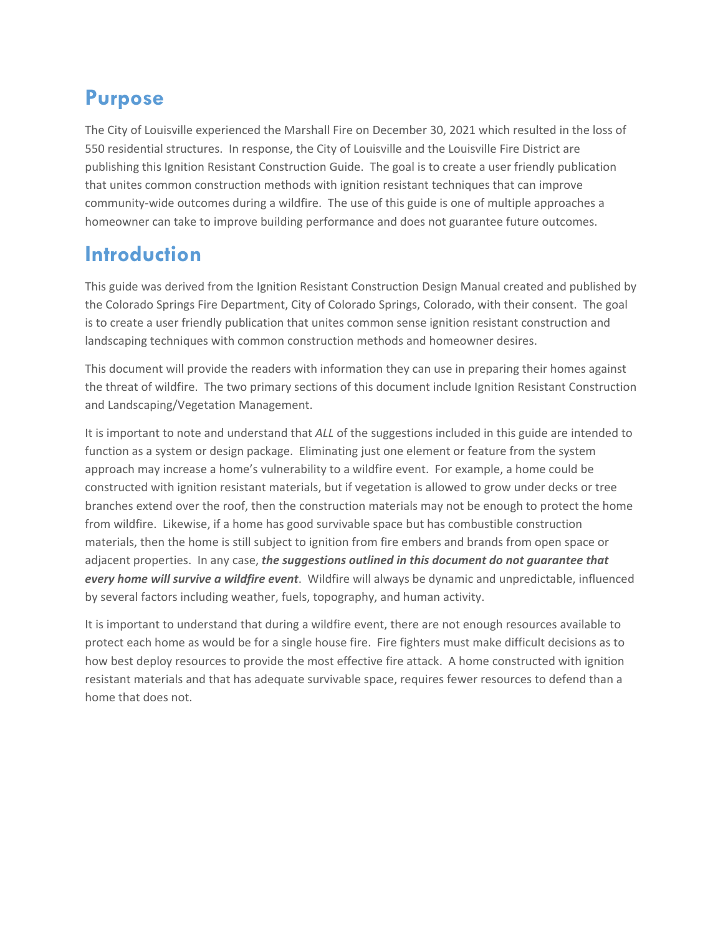## **Purpose**

The City of Louisville experienced the Marshall Fire on December 30, 2021 which resulted in the loss of 550 residential structures. In response, the City of Louisville and the Louisville Fire District are publishing this Ignition Resistant Construction Guide. The goal is to create a user friendly publication that unites common construction methods with ignition resistant techniques that can improve community-wide outcomes during a wildfire. The use of this guide is one of multiple approaches a homeowner can take to improve building performance and does not guarantee future outcomes.

## **Introduction**

This guide was derived from the Ignition Resistant Construction Design Manual created and published by the Colorado Springs Fire Department, City of Colorado Springs, Colorado, with their consent. The goal is to create a user friendly publication that unites common sense ignition resistant construction and landscaping techniques with common construction methods and homeowner desires.

This document will provide the readers with information they can use in preparing their homes against the threat of wildfire. The two primary sections of this document include Ignition Resistant Construction and Landscaping/Vegetation Management.

It is important to note and understand that *ALL* of the suggestions included in this guide are intended to function as a system or design package. Eliminating just one element or feature from the system approach may increase a home's vulnerability to a wildfire event. For example, a home could be constructed with ignition resistant materials, but if vegetation is allowed to grow under decks or tree branches extend over the roof, then the construction materials may not be enough to protect the home from wildfire. Likewise, if a home has good survivable space but has combustible construction materials, then the home is still subject to ignition from fire embers and brands from open space or adjacent properties. In any case, *the suggestions outlined in this document do not guarantee that every home will survive a wildfire event*. Wildfire will always be dynamic and unpredictable, influenced by several factors including weather, fuels, topography, and human activity.

It is important to understand that during a wildfire event, there are not enough resources available to protect each home as would be for a single house fire. Fire fighters must make difficult decisions as to how best deploy resources to provide the most effective fire attack. A home constructed with ignition resistant materials and that has adequate survivable space, requires fewer resources to defend than a home that does not.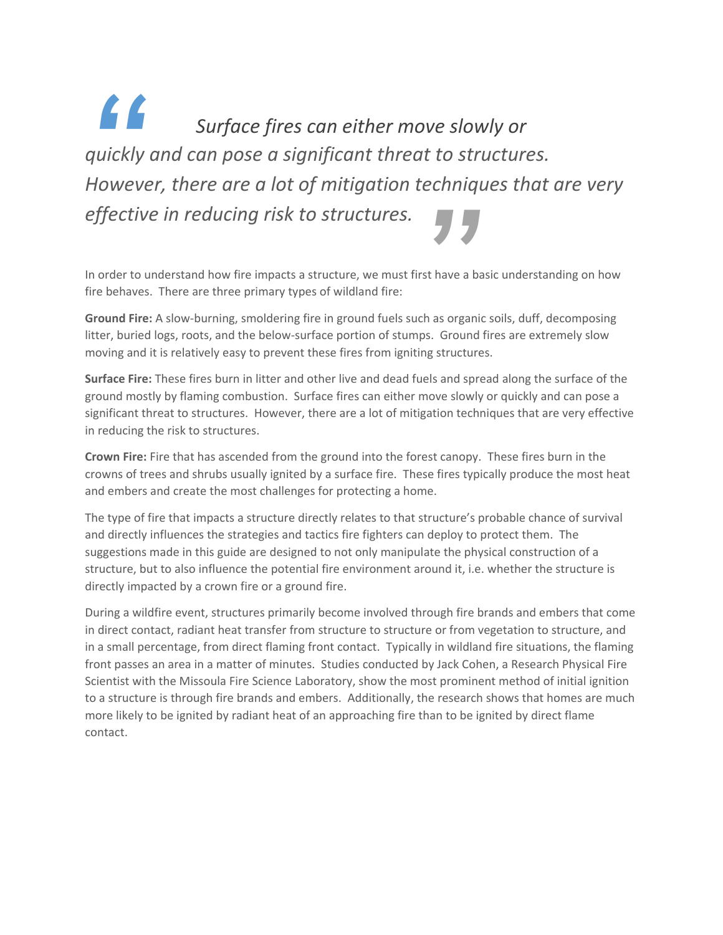*Surface fires can either move slowly or quickly and can pose a significant threat to structures. However, there are a lot of mitigation techniques that are very effective in reducing risk to structures. "* **1999**<br>st have a b<br>h as organi

In order to understand how fire impacts a structure, we must first have a basic understanding on how fire behaves. There are three primary types of wildland fire:

**Ground Fire:** A slow‐burning, smoldering fire in ground fuels such as organic soils, duff, decomposing litter, buried logs, roots, and the below-surface portion of stumps. Ground fires are extremely slow moving and it is relatively easy to prevent these fires from igniting structures.

**Surface Fire:** These fires burn in litter and other live and dead fuels and spread along the surface of the ground mostly by flaming combustion. Surface fires can either move slowly or quickly and can pose a significant threat to structures. However, there are a lot of mitigation techniques that are very effective in reducing the risk to structures.

**Crown Fire:** Fire that has ascended from the ground into the forest canopy. These fires burn in the crowns of trees and shrubs usually ignited by a surface fire. These fires typically produce the most heat and embers and create the most challenges for protecting a home.

The type of fire that impacts a structure directly relates to that structure's probable chance of survival and directly influences the strategies and tactics fire fighters can deploy to protect them. The suggestions made in this guide are designed to not only manipulate the physical construction of a structure, but to also influence the potential fire environment around it, i.e. whether the structure is directly impacted by a crown fire or a ground fire.

During a wildfire event, structures primarily become involved through fire brands and embers that come in direct contact, radiant heat transfer from structure to structure or from vegetation to structure, and in a small percentage, from direct flaming front contact. Typically in wildland fire situations, the flaming front passes an area in a matter of minutes. Studies conducted by Jack Cohen, a Research Physical Fire Scientist with the Missoula Fire Science Laboratory, show the most prominent method of initial ignition to a structure is through fire brands and embers. Additionally, the research shows that homes are much more likely to be ignited by radiant heat of an approaching fire than to be ignited by direct flame contact.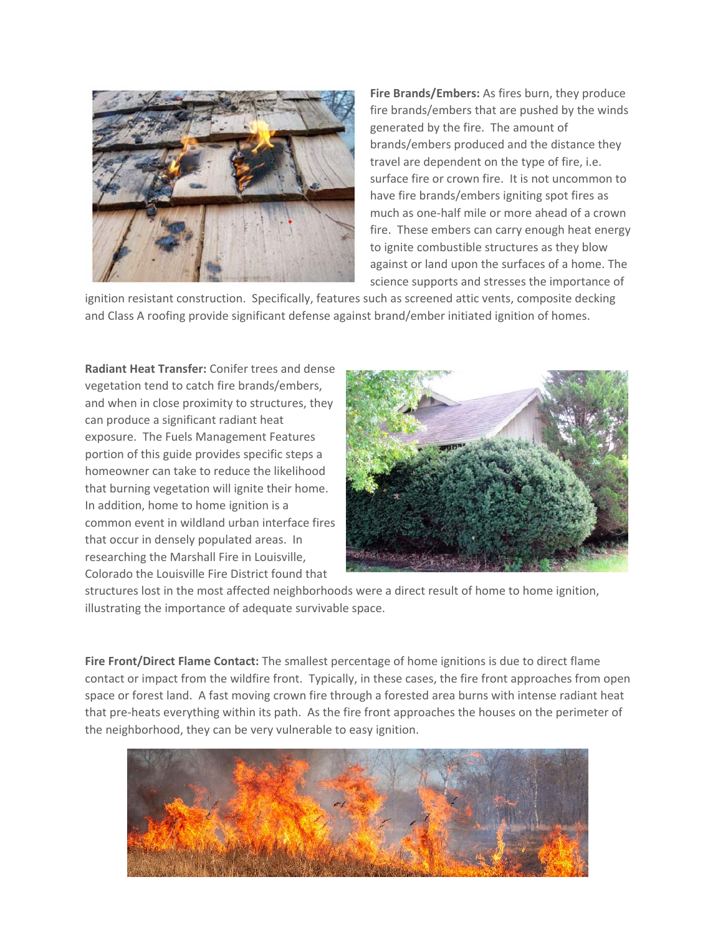

**Fire Brands/Embers:** As fires burn, they produce fire brands/embers that are pushed by the winds generated by the fire. The amount of brands/embers produced and the distance they travel are dependent on the type of fire, i.e. surface fire or crown fire. It is not uncommon to have fire brands/embers igniting spot fires as much as one‐half mile or more ahead of a crown fire. These embers can carry enough heat energy to ignite combustible structures as they blow against or land upon the surfaces of a home. The science supports and stresses the importance of

ignition resistant construction. Specifically, features such as screened attic vents, composite decking and Class A roofing provide significant defense against brand/ember initiated ignition of homes.

**Radiant Heat Transfer:** Conifer trees and dense vegetation tend to catch fire brands/embers, and when in close proximity to structures, they can produce a significant radiant heat exposure. The Fuels Management Features portion of this guide provides specific steps a homeowner can take to reduce the likelihood that burning vegetation will ignite their home. In addition, home to home ignition is a common event in wildland urban interface fires that occur in densely populated areas. In researching the Marshall Fire in Louisville, Colorado the Louisville Fire District found that



structures lost in the most affected neighborhoods were a direct result of home to home ignition, illustrating the importance of adequate survivable space.

**Fire Front/Direct Flame Contact:** The smallest percentage of home ignitions is due to direct flame contact or impact from the wildfire front. Typically, in these cases, the fire front approaches from open space or forest land. A fast moving crown fire through a forested area burns with intense radiant heat that pre‐heats everything within its path. As the fire front approaches the houses on the perimeter of the neighborhood, they can be very vulnerable to easy ignition.

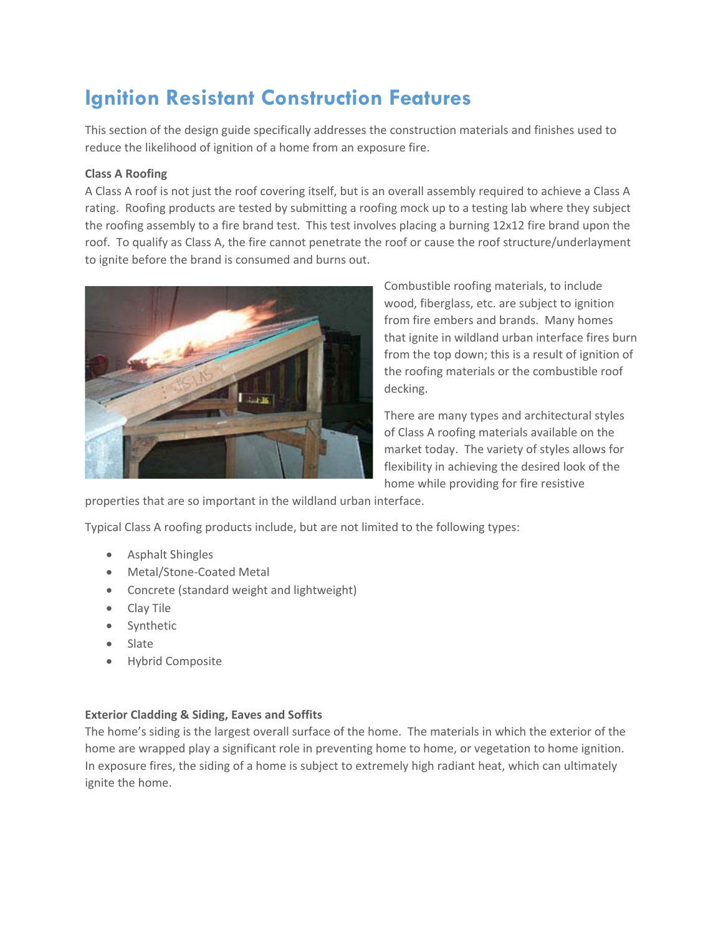# **Ignition Resistant Construction Features**

This section of the design guide specifically addresses the construction materials and finishes used to reduce the likelihood of ignition of a home from an exposure fire.

## **Class A Roofing**

A Class A roof is not just the roof covering itself, but is an overall assembly required to achieve a Class A rating. Roofing products are tested by submitting a roofing mock up to a testing lab where they subject the roofing assembly to a fire brand test. This test involves placing a burning 12x12 fire brand upon the roof. To qualify as Class A, the fire cannot penetrate the roof or cause the roof structure/underlayment to ignite before the brand is consumed and burns out.



Combustible roofing materials, to include wood, fiberglass, etc. are subject to ignition from fire embers and brands. Many homes that ignite in wildland urban interface fires burn from the top down; this is a result of ignition of the roofing materials or the combustible roof decking.

There are many types and architectural styles of Class A roofing materials available on the market today. The variety of styles allows for flexibility in achieving the desired look of the home while providing for fire resistive

properties that are so important in the wildland urban interface.

Typical Class A roofing products include, but are not limited to the following types:

- Asphalt Shingles
- Metal/Stone-Coated Metal
- Concrete (standard weight and lightweight)
- Clay Tile
- Synthetic
- Slate
- Hybrid Composite

## **Exterior Cladding & Siding, Eaves and Soffits**

The home's siding is the largest overall surface of the home. The materials in which the exterior of the home are wrapped play a significant role in preventing home to home, or vegetation to home ignition. In exposure fires, the siding of a home is subject to extremely high radiant heat, which can ultimately ignite the home.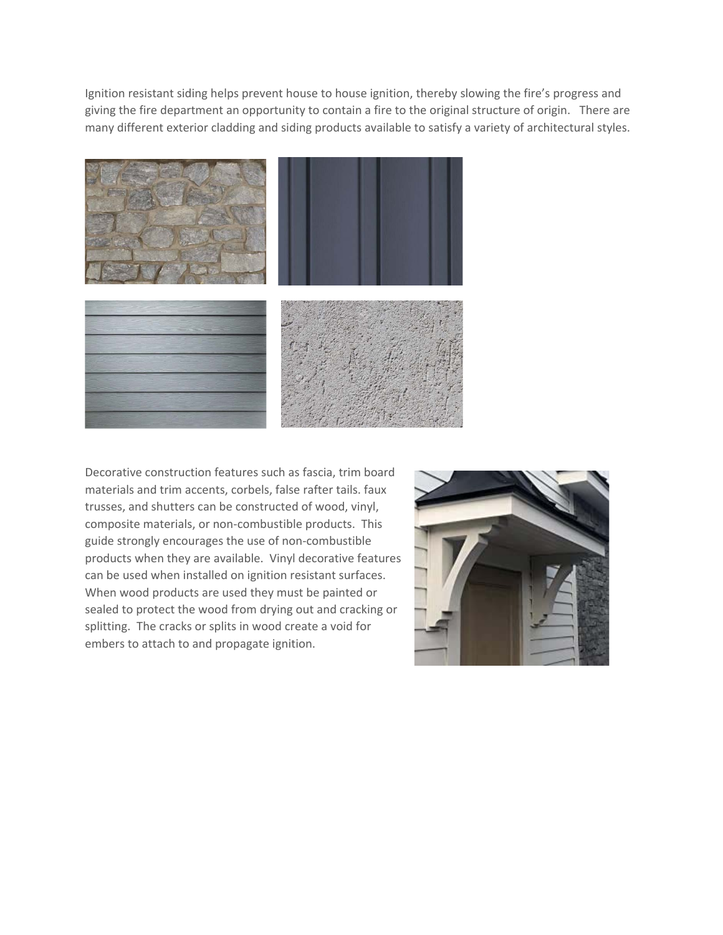Ignition resistant siding helps prevent house to house ignition, thereby slowing the fire's progress and giving the fire department an opportunity to contain a fire to the original structure of origin. There are many different exterior cladding and siding products available to satisfy a variety of architectural styles.



Decorative construction features such as fascia, trim board materials and trim accents, corbels, false rafter tails. faux trusses, and shutters can be constructed of wood, vinyl, composite materials, or non‐combustible products. This guide strongly encourages the use of non‐combustible products when they are available. Vinyl decorative features can be used when installed on ignition resistant surfaces. When wood products are used they must be painted or sealed to protect the wood from drying out and cracking or splitting. The cracks or splits in wood create a void for embers to attach to and propagate ignition.

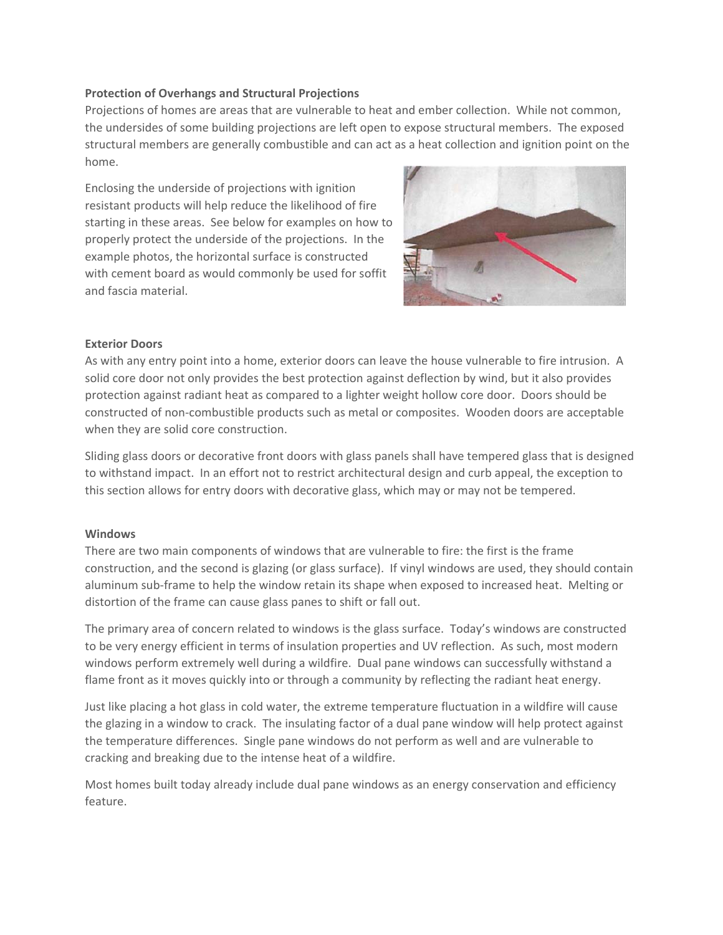### **Protection of Overhangs and Structural Projections**

Projections of homes are areas that are vulnerable to heat and ember collection. While not common, the undersides of some building projections are left open to expose structural members. The exposed structural members are generally combustible and can act as a heat collection and ignition point on the home.

Enclosing the underside of projections with ignition resistant products will help reduce the likelihood of fire starting in these areas. See below for examples on how to properly protect the underside of the projections. In the example photos, the horizontal surface is constructed with cement board as would commonly be used for soffit and fascia material.



#### **Exterior Doors**

As with any entry point into a home, exterior doors can leave the house vulnerable to fire intrusion. A solid core door not only provides the best protection against deflection by wind, but it also provides protection against radiant heat as compared to a lighter weight hollow core door. Doors should be constructed of non‐combustible products such as metal or composites. Wooden doors are acceptable when they are solid core construction.

Sliding glass doors or decorative front doors with glass panels shall have tempered glass that is designed to withstand impact. In an effort not to restrict architectural design and curb appeal, the exception to this section allows for entry doors with decorative glass, which may or may not be tempered.

#### **Windows**

There are two main components of windows that are vulnerable to fire: the first is the frame construction, and the second is glazing (or glass surface). If vinyl windows are used, they should contain aluminum sub‐frame to help the window retain its shape when exposed to increased heat. Melting or distortion of the frame can cause glass panes to shift or fall out.

The primary area of concern related to windows is the glass surface. Today's windows are constructed to be very energy efficient in terms of insulation properties and UV reflection. As such, most modern windows perform extremely well during a wildfire. Dual pane windows can successfully withstand a flame front as it moves quickly into or through a community by reflecting the radiant heat energy.

Just like placing a hot glass in cold water, the extreme temperature fluctuation in a wildfire will cause the glazing in a window to crack. The insulating factor of a dual pane window will help protect against the temperature differences. Single pane windows do not perform as well and are vulnerable to cracking and breaking due to the intense heat of a wildfire.

Most homes built today already include dual pane windows as an energy conservation and efficiency feature.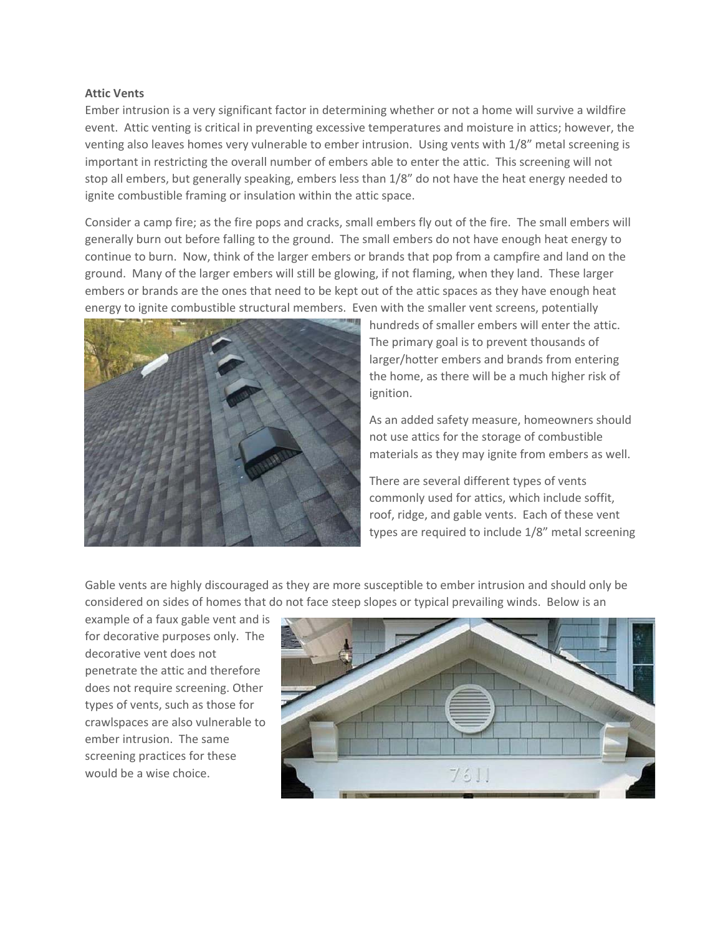#### **Attic Vents**

Ember intrusion is a very significant factor in determining whether or not a home will survive a wildfire event. Attic venting is critical in preventing excessive temperatures and moisture in attics; however, the venting also leaves homes very vulnerable to ember intrusion. Using vents with 1/8" metal screening is important in restricting the overall number of embers able to enter the attic. This screening will not stop all embers, but generally speaking, embers less than 1/8" do not have the heat energy needed to ignite combustible framing or insulation within the attic space.

Consider a camp fire; as the fire pops and cracks, small embers fly out of the fire. The small embers will generally burn out before falling to the ground. The small embers do not have enough heat energy to continue to burn. Now, think of the larger embers or brands that pop from a campfire and land on the ground. Many of the larger embers will still be glowing, if not flaming, when they land. These larger embers or brands are the ones that need to be kept out of the attic spaces as they have enough heat energy to ignite combustible structural members. Even with the smaller vent screens, potentially



hundreds of smaller embers will enter the attic. The primary goal is to prevent thousands of larger/hotter embers and brands from entering the home, as there will be a much higher risk of ignition.

As an added safety measure, homeowners should not use attics for the storage of combustible materials as they may ignite from embers as well.

There are several different types of vents commonly used for attics, which include soffit, roof, ridge, and gable vents. Each of these vent types are required to include 1/8" metal screening

Gable vents are highly discouraged as they are more susceptible to ember intrusion and should only be considered on sides of homes that do not face steep slopes or typical prevailing winds. Below is an

example of a faux gable vent and is for decorative purposes only. The decorative vent does not penetrate the attic and therefore does not require screening. Other types of vents, such as those for crawlspaces are also vulnerable to ember intrusion. The same screening practices for these would be a wise choice.

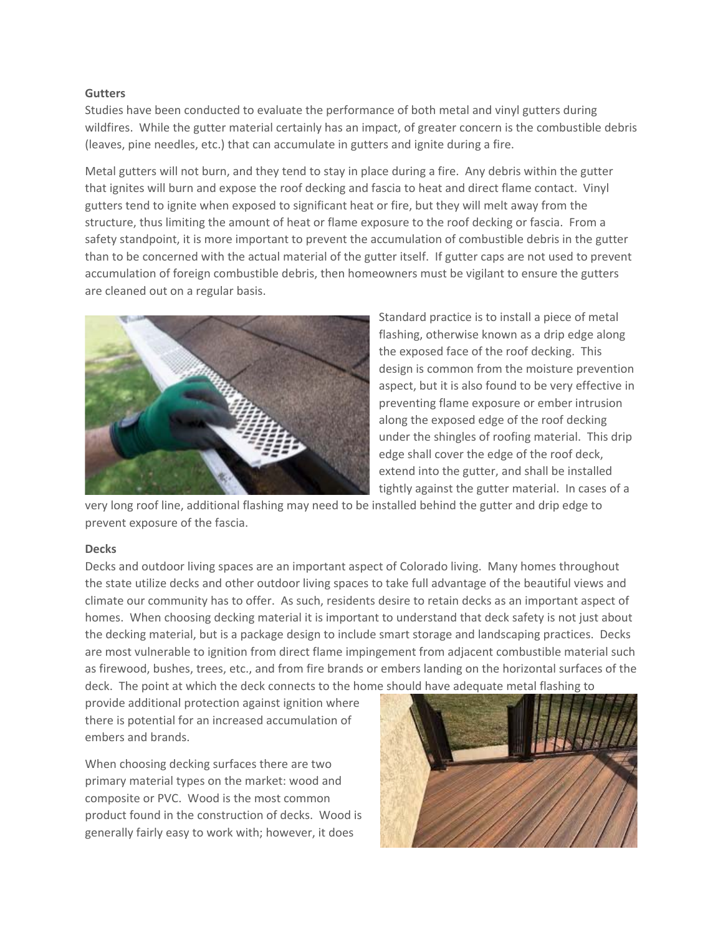#### **Gutters**

Studies have been conducted to evaluate the performance of both metal and vinyl gutters during wildfires. While the gutter material certainly has an impact, of greater concern is the combustible debris (leaves, pine needles, etc.) that can accumulate in gutters and ignite during a fire.

Metal gutters will not burn, and they tend to stay in place during a fire. Any debris within the gutter that ignites will burn and expose the roof decking and fascia to heat and direct flame contact. Vinyl gutters tend to ignite when exposed to significant heat or fire, but they will melt away from the structure, thus limiting the amount of heat or flame exposure to the roof decking or fascia. From a safety standpoint, it is more important to prevent the accumulation of combustible debris in the gutter than to be concerned with the actual material of the gutter itself. If gutter caps are not used to prevent accumulation of foreign combustible debris, then homeowners must be vigilant to ensure the gutters are cleaned out on a regular basis.



Standard practice is to install a piece of metal flashing, otherwise known as a drip edge along the exposed face of the roof decking. This design is common from the moisture prevention aspect, but it is also found to be very effective in preventing flame exposure or ember intrusion along the exposed edge of the roof decking under the shingles of roofing material. This drip edge shall cover the edge of the roof deck, extend into the gutter, and shall be installed tightly against the gutter material. In cases of a

very long roof line, additional flashing may need to be installed behind the gutter and drip edge to prevent exposure of the fascia.

#### **Decks**

Decks and outdoor living spaces are an important aspect of Colorado living. Many homes throughout the state utilize decks and other outdoor living spaces to take full advantage of the beautiful views and climate our community has to offer. As such, residents desire to retain decks as an important aspect of homes. When choosing decking material it is important to understand that deck safety is not just about the decking material, but is a package design to include smart storage and landscaping practices. Decks are most vulnerable to ignition from direct flame impingement from adjacent combustible material such as firewood, bushes, trees, etc., and from fire brands or embers landing on the horizontal surfaces of the deck. The point at which the deck connects to the home should have adequate metal flashing to

provide additional protection against ignition where there is potential for an increased accumulation of embers and brands.

When choosing decking surfaces there are two primary material types on the market: wood and composite or PVC. Wood is the most common product found in the construction of decks. Wood is generally fairly easy to work with; however, it does

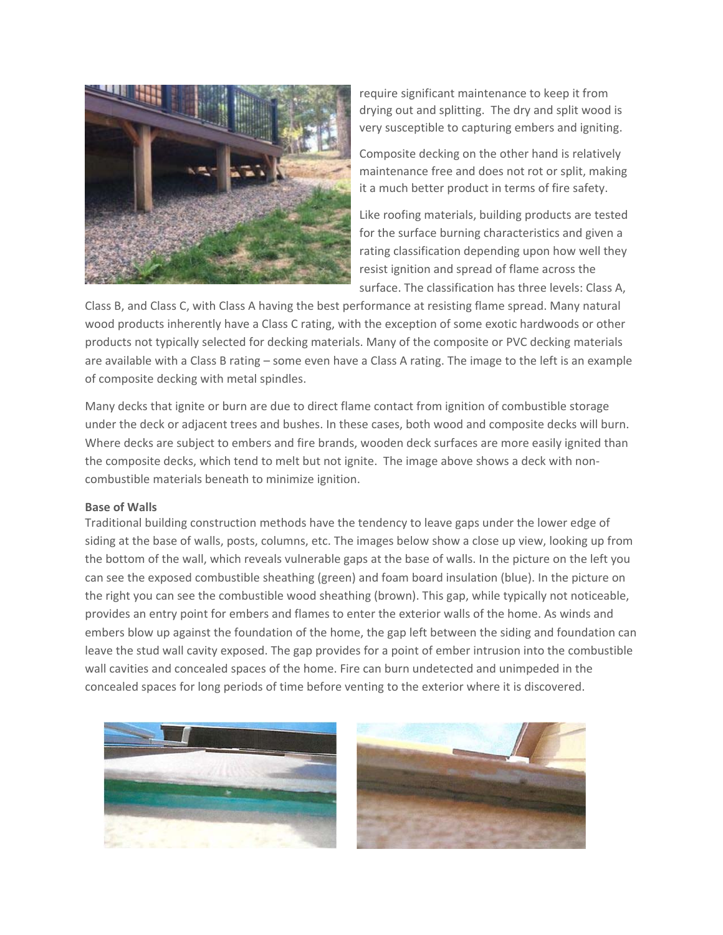

require significant maintenance to keep it from drying out and splitting. The dry and split wood is very susceptible to capturing embers and igniting.

Composite decking on the other hand is relatively maintenance free and does not rot or split, making it a much better product in terms of fire safety.

Like roofing materials, building products are tested for the surface burning characteristics and given a rating classification depending upon how well they resist ignition and spread of flame across the surface. The classification has three levels: Class A,

Class B, and Class C, with Class A having the best performance at resisting flame spread. Many natural wood products inherently have a Class C rating, with the exception of some exotic hardwoods or other products not typically selected for decking materials. Many of the composite or PVC decking materials are available with a Class B rating – some even have a Class A rating. The image to the left is an example of composite decking with metal spindles.

Many decks that ignite or burn are due to direct flame contact from ignition of combustible storage under the deck or adjacent trees and bushes. In these cases, both wood and composite decks will burn. Where decks are subject to embers and fire brands, wooden deck surfaces are more easily ignited than the composite decks, which tend to melt but not ignite. The image above shows a deck with noncombustible materials beneath to minimize ignition.

#### **Base of Walls**

Traditional building construction methods have the tendency to leave gaps under the lower edge of siding at the base of walls, posts, columns, etc. The images below show a close up view, looking up from the bottom of the wall, which reveals vulnerable gaps at the base of walls. In the picture on the left you can see the exposed combustible sheathing (green) and foam board insulation (blue). In the picture on the right you can see the combustible wood sheathing (brown). This gap, while typically not noticeable, provides an entry point for embers and flames to enter the exterior walls of the home. As winds and embers blow up against the foundation of the home, the gap left between the siding and foundation can leave the stud wall cavity exposed. The gap provides for a point of ember intrusion into the combustible wall cavities and concealed spaces of the home. Fire can burn undetected and unimpeded in the concealed spaces for long periods of time before venting to the exterior where it is discovered.



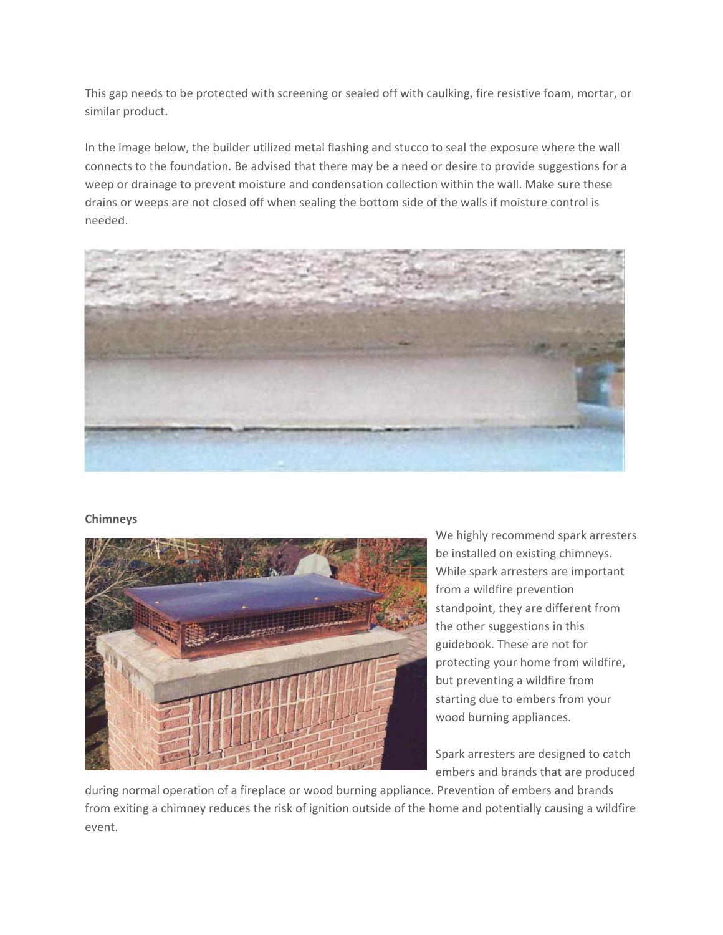This gap needs to be protected with screening or sealed off with caulking, fire resistive foam, mortar, or similar product.

In the image below, the builder utilized metal flashing and stucco to seal the exposure where the wall connects to the foundation. Be advised that there may be a need or desire to provide suggestions for a weep or drainage to prevent moisture and condensation collection within the wall. Make sure these drains or weeps are not closed off when sealing the bottom side of the walls if moisture control is needed.



## **Chimneys**



We highly recommend spark arresters be installed on existing chimneys. While spark arresters are important from a wildfire prevention standpoint, they are different from the other suggestions in this guidebook. These are not for protecting your home from wildfire, but preventing a wildfire from starting due to embers from your wood burning appliances.

Spark arresters are designed to catch embers and brands that are produced

during normal operation of a fireplace or wood burning appliance. Prevention of embers and brands from exiting a chimney reduces the risk of ignition outside of the home and potentially causing a wildfire event.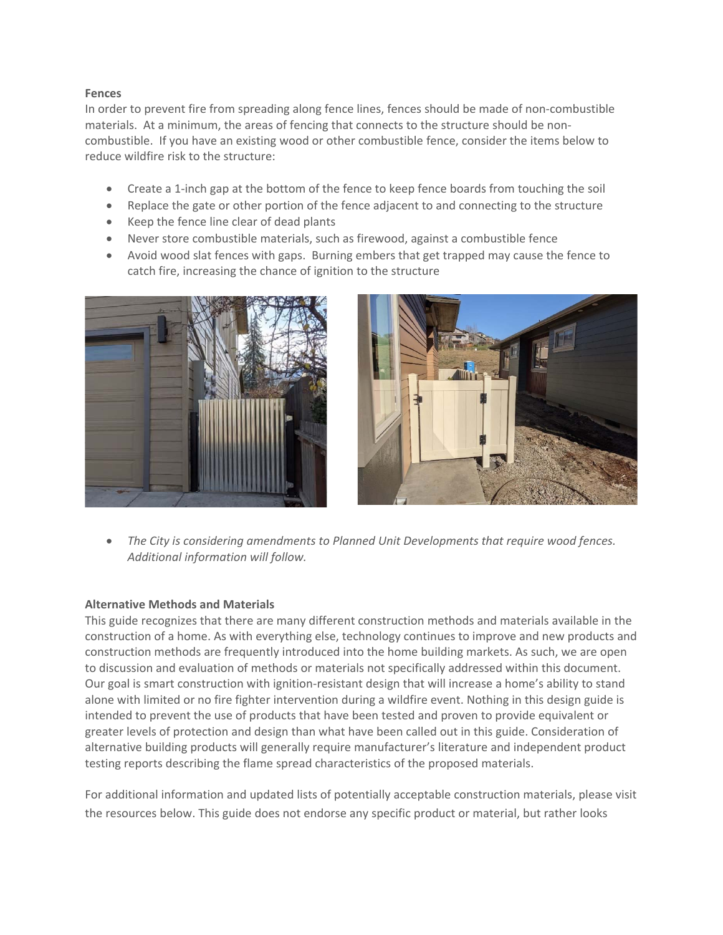## **Fences**

In order to prevent fire from spreading along fence lines, fences should be made of non-combustible materials. At a minimum, the areas of fencing that connects to the structure should be noncombustible. If you have an existing wood or other combustible fence, consider the items below to reduce wildfire risk to the structure:

- Create a 1‐inch gap at the bottom of the fence to keep fence boards from touching the soil
- Replace the gate or other portion of the fence adjacent to and connecting to the structure
- Keep the fence line clear of dead plants
- Never store combustible materials, such as firewood, against a combustible fence
- Avoid wood slat fences with gaps. Burning embers that get trapped may cause the fence to catch fire, increasing the chance of ignition to the structure





 *The City is considering amendments to Planned Unit Developments that require wood fences. Additional information will follow.* 

#### **Alternative Methods and Materials**

This guide recognizes that there are many different construction methods and materials available in the construction of a home. As with everything else, technology continues to improve and new products and construction methods are frequently introduced into the home building markets. As such, we are open to discussion and evaluation of methods or materials not specifically addressed within this document. Our goal is smart construction with ignition‐resistant design that will increase a home's ability to stand alone with limited or no fire fighter intervention during a wildfire event. Nothing in this design guide is intended to prevent the use of products that have been tested and proven to provide equivalent or greater levels of protection and design than what have been called out in this guide. Consideration of alternative building products will generally require manufacturer's literature and independent product testing reports describing the flame spread characteristics of the proposed materials.

For additional information and updated lists of potentially acceptable construction materials, please visit the resources below. This guide does not endorse any specific product or material, but rather looks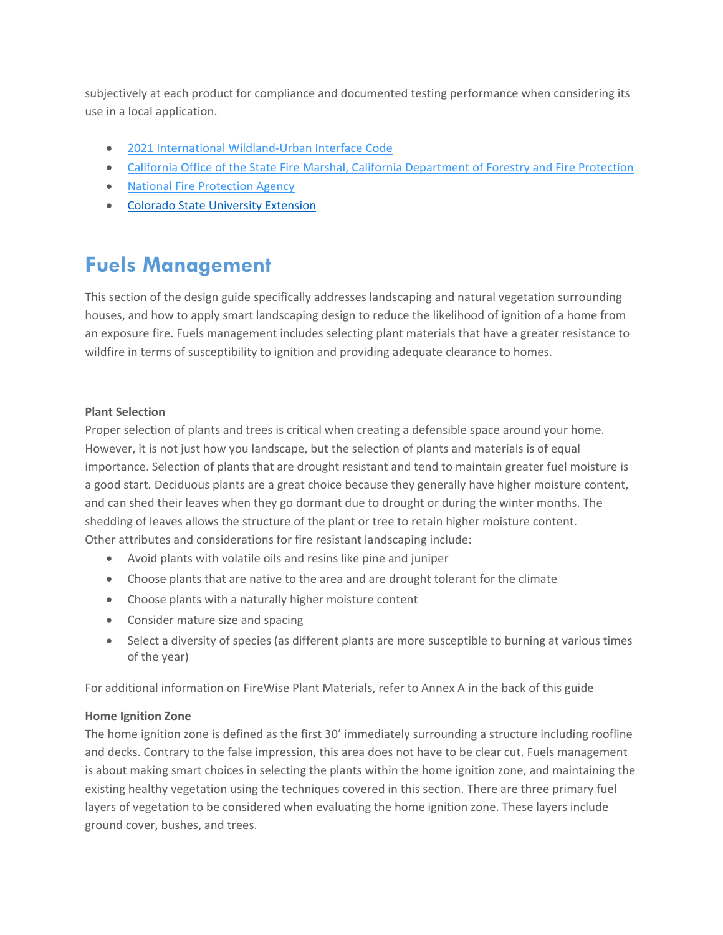subjectively at each product for compliance and documented testing performance when considering its use in a local application.

- 2021 International Wildland-Urban Interface Code
- California Office of the State Fire Marshal, California Department of Forestry and Fire Protection
- National Fire Protection Agency
- **Colorado State University Extension**

## **Fuels Management**

This section of the design guide specifically addresses landscaping and natural vegetation surrounding houses, and how to apply smart landscaping design to reduce the likelihood of ignition of a home from an exposure fire. Fuels management includes selecting plant materials that have a greater resistance to wildfire in terms of susceptibility to ignition and providing adequate clearance to homes.

## **Plant Selection**

Proper selection of plants and trees is critical when creating a defensible space around your home. However, it is not just how you landscape, but the selection of plants and materials is of equal importance. Selection of plants that are drought resistant and tend to maintain greater fuel moisture is a good start. Deciduous plants are a great choice because they generally have higher moisture content, and can shed their leaves when they go dormant due to drought or during the winter months. The shedding of leaves allows the structure of the plant or tree to retain higher moisture content. Other attributes and considerations for fire resistant landscaping include:

- Avoid plants with volatile oils and resins like pine and juniper
- Choose plants that are native to the area and are drought tolerant for the climate
- Choose plants with a naturally higher moisture content
- Consider mature size and spacing
- Select a diversity of species (as different plants are more susceptible to burning at various times of the year)

For additional information on FireWise Plant Materials, refer to Annex A in the back of this guide

## **Home Ignition Zone**

The home ignition zone is defined as the first 30' immediately surrounding a structure including roofline and decks. Contrary to the false impression, this area does not have to be clear cut. Fuels management is about making smart choices in selecting the plants within the home ignition zone, and maintaining the existing healthy vegetation using the techniques covered in this section. There are three primary fuel layers of vegetation to be considered when evaluating the home ignition zone. These layers include ground cover, bushes, and trees.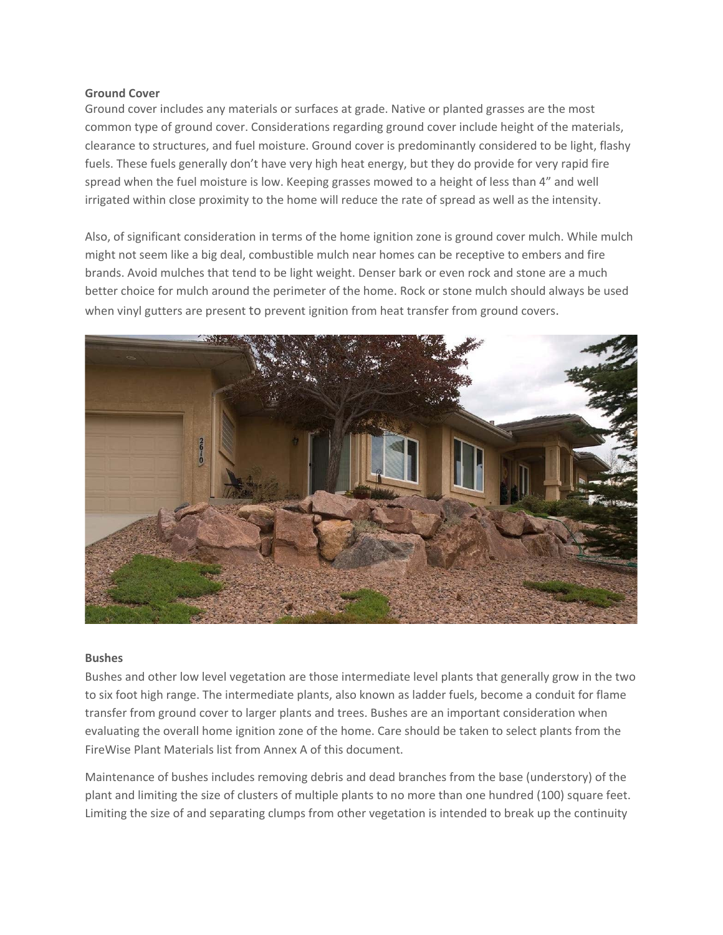#### **Ground Cover**

Ground cover includes any materials or surfaces at grade. Native or planted grasses are the most common type of ground cover. Considerations regarding ground cover include height of the materials, clearance to structures, and fuel moisture. Ground cover is predominantly considered to be light, flashy fuels. These fuels generally don't have very high heat energy, but they do provide for very rapid fire spread when the fuel moisture is low. Keeping grasses mowed to a height of less than 4" and well irrigated within close proximity to the home will reduce the rate of spread as well as the intensity.

Also, of significant consideration in terms of the home ignition zone is ground cover mulch. While mulch might not seem like a big deal, combustible mulch near homes can be receptive to embers and fire brands. Avoid mulches that tend to be light weight. Denser bark or even rock and stone are a much better choice for mulch around the perimeter of the home. Rock or stone mulch should always be used when vinyl gutters are present to prevent ignition from heat transfer from ground covers.



#### **Bushes**

Bushes and other low level vegetation are those intermediate level plants that generally grow in the two to six foot high range. The intermediate plants, also known as ladder fuels, become a conduit for flame transfer from ground cover to larger plants and trees. Bushes are an important consideration when evaluating the overall home ignition zone of the home. Care should be taken to select plants from the FireWise Plant Materials list from Annex A of this document.

Maintenance of bushes includes removing debris and dead branches from the base (understory) of the plant and limiting the size of clusters of multiple plants to no more than one hundred (100) square feet. Limiting the size of and separating clumps from other vegetation is intended to break up the continuity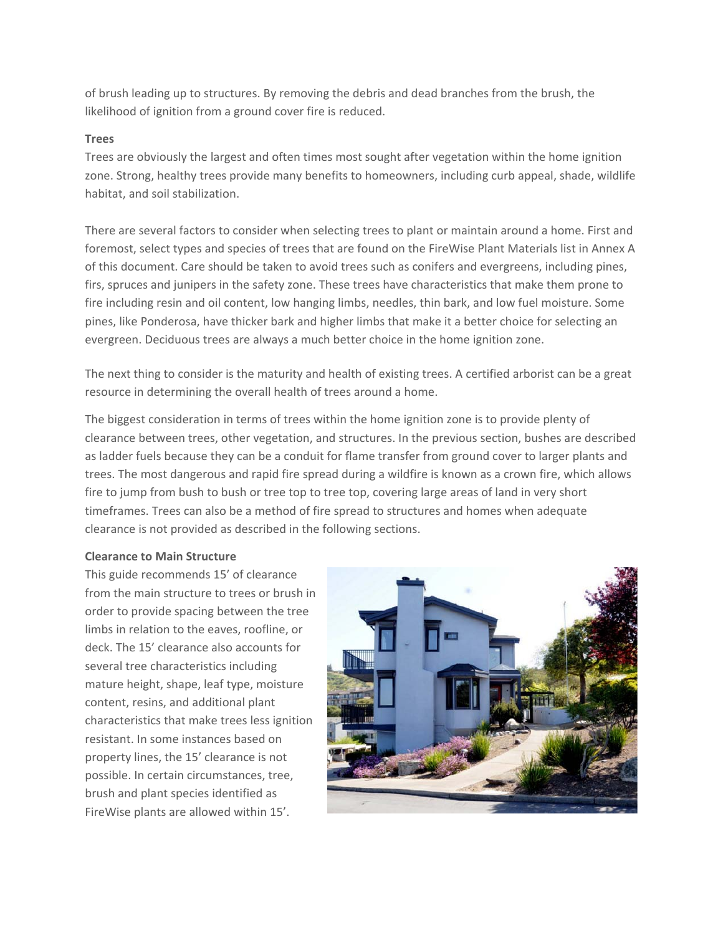of brush leading up to structures. By removing the debris and dead branches from the brush, the likelihood of ignition from a ground cover fire is reduced.

## **Trees**

Trees are obviously the largest and often times most sought after vegetation within the home ignition zone. Strong, healthy trees provide many benefits to homeowners, including curb appeal, shade, wildlife habitat, and soil stabilization.

There are several factors to consider when selecting trees to plant or maintain around a home. First and foremost, select types and species of trees that are found on the FireWise Plant Materials list in Annex A of this document. Care should be taken to avoid trees such as conifers and evergreens, including pines, firs, spruces and junipers in the safety zone. These trees have characteristics that make them prone to fire including resin and oil content, low hanging limbs, needles, thin bark, and low fuel moisture. Some pines, like Ponderosa, have thicker bark and higher limbs that make it a better choice for selecting an evergreen. Deciduous trees are always a much better choice in the home ignition zone.

The next thing to consider is the maturity and health of existing trees. A certified arborist can be a great resource in determining the overall health of trees around a home.

The biggest consideration in terms of trees within the home ignition zone is to provide plenty of clearance between trees, other vegetation, and structures. In the previous section, bushes are described as ladder fuels because they can be a conduit for flame transfer from ground cover to larger plants and trees. The most dangerous and rapid fire spread during a wildfire is known as a crown fire, which allows fire to jump from bush to bush or tree top to tree top, covering large areas of land in very short timeframes. Trees can also be a method of fire spread to structures and homes when adequate clearance is not provided as described in the following sections.

## **Clearance to Main Structure**

This guide recommends 15' of clearance from the main structure to trees or brush in order to provide spacing between the tree limbs in relation to the eaves, roofline, or deck. The 15' clearance also accounts for several tree characteristics including mature height, shape, leaf type, moisture content, resins, and additional plant characteristics that make trees less ignition resistant. In some instances based on property lines, the 15' clearance is not possible. In certain circumstances, tree, brush and plant species identified as FireWise plants are allowed within 15'.

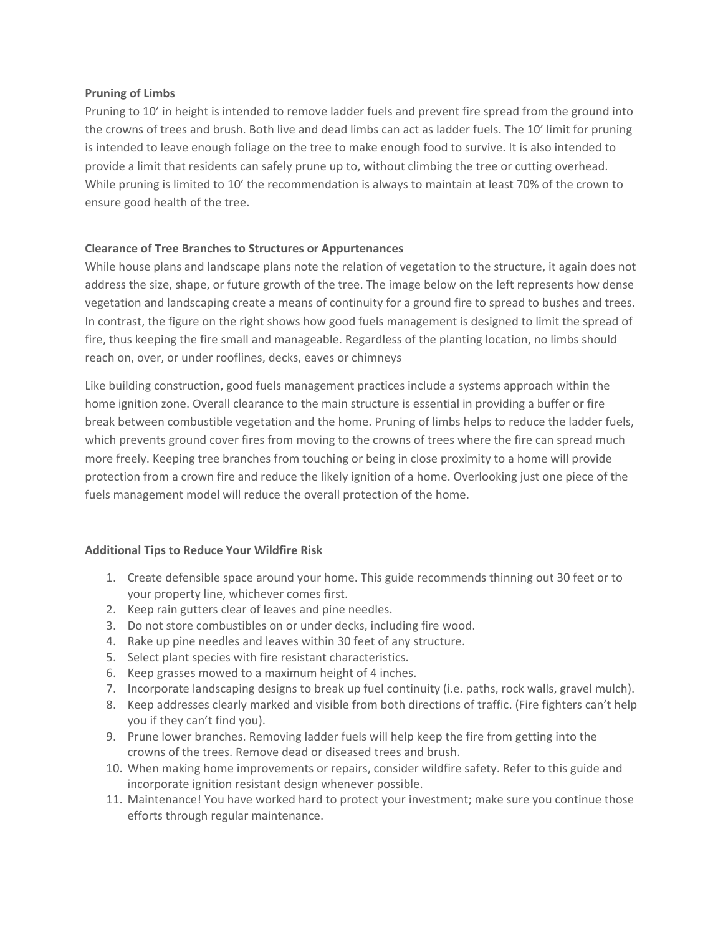## **Pruning of Limbs**

Pruning to 10' in height is intended to remove ladder fuels and prevent fire spread from the ground into the crowns of trees and brush. Both live and dead limbs can act as ladder fuels. The 10' limit for pruning is intended to leave enough foliage on the tree to make enough food to survive. It is also intended to provide a limit that residents can safely prune up to, without climbing the tree or cutting overhead. While pruning is limited to 10' the recommendation is always to maintain at least 70% of the crown to ensure good health of the tree.

## **Clearance of Tree Branches to Structures or Appurtenances**

While house plans and landscape plans note the relation of vegetation to the structure, it again does not address the size, shape, or future growth of the tree. The image below on the left represents how dense vegetation and landscaping create a means of continuity for a ground fire to spread to bushes and trees. In contrast, the figure on the right shows how good fuels management is designed to limit the spread of fire, thus keeping the fire small and manageable. Regardless of the planting location, no limbs should reach on, over, or under rooflines, decks, eaves or chimneys

Like building construction, good fuels management practices include a systems approach within the home ignition zone. Overall clearance to the main structure is essential in providing a buffer or fire break between combustible vegetation and the home. Pruning of limbs helps to reduce the ladder fuels, which prevents ground cover fires from moving to the crowns of trees where the fire can spread much more freely. Keeping tree branches from touching or being in close proximity to a home will provide protection from a crown fire and reduce the likely ignition of a home. Overlooking just one piece of the fuels management model will reduce the overall protection of the home.

#### **Additional Tips to Reduce Your Wildfire Risk**

- 1. Create defensible space around your home. This guide recommends thinning out 30 feet or to your property line, whichever comes first.
- 2. Keep rain gutters clear of leaves and pine needles.
- 3. Do not store combustibles on or under decks, including fire wood.
- 4. Rake up pine needles and leaves within 30 feet of any structure.
- 5. Select plant species with fire resistant characteristics.
- 6. Keep grasses mowed to a maximum height of 4 inches.
- 7. Incorporate landscaping designs to break up fuel continuity (i.e. paths, rock walls, gravel mulch).
- 8. Keep addresses clearly marked and visible from both directions of traffic. (Fire fighters can't help you if they can't find you).
- 9. Prune lower branches. Removing ladder fuels will help keep the fire from getting into the crowns of the trees. Remove dead or diseased trees and brush.
- 10. When making home improvements or repairs, consider wildfire safety. Refer to this guide and incorporate ignition resistant design whenever possible.
- 11. Maintenance! You have worked hard to protect your investment; make sure you continue those efforts through regular maintenance.